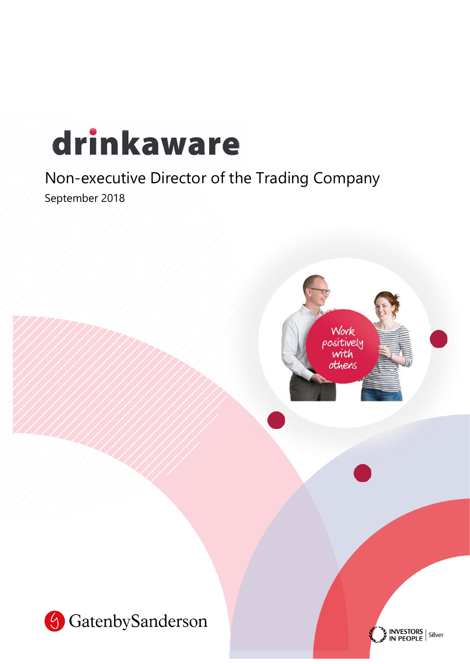# drinkaware

# Non-executive Director of the Trading Company

September 2018



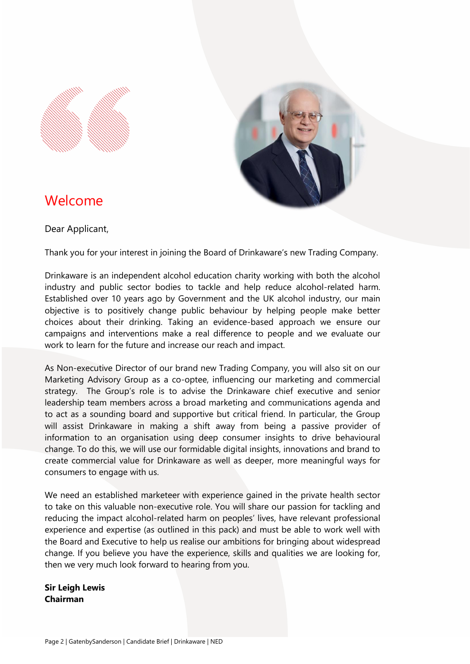



# Welcome

Dear Applicant,

Thank you for your interest in joining the Board of Drinkaware's new Trading Company.

Drinkaware is an independent alcohol education charity working with both the alcohol industry and public sector bodies to tackle and help reduce alcohol-related harm. Established over 10 years ago by Government and the UK alcohol industry, our main objective is to positively change public behaviour by helping people make better choices about their drinking. Taking an evidence-based approach we ensure our campaigns and interventions make a real difference to people and we evaluate our work to learn for the future and increase our reach and impact.

As Non-executive Director of our brand new Trading Company, you will also sit on our Marketing Advisory Group as a co-optee, influencing our marketing and commercial strategy. The Group's role is to advise the Drinkaware chief executive and senior leadership team members across a broad marketing and communications agenda and to act as a sounding board and supportive but critical friend. In particular, the Group will assist Drinkaware in making a shift away from being a passive provider of information to an organisation using deep consumer insights to drive behavioural change. To do this, we will use our formidable digital insights, innovations and brand to create commercial value for Drinkaware as well as deeper, more meaningful ways for consumers to engage with us.

We need an established marketeer with experience gained in the private health sector to take on this valuable non-executive role. You will share our passion for tackling and reducing the impact alcohol-related harm on peoples' lives, have relevant professional experience and expertise (as outlined in this pack) and must be able to work well with the Board and Executive to help us realise our ambitions for bringing about widespread change. If you believe you have the experience, skills and qualities we are looking for, then we very much look forward to hearing from you.

**Sir Leigh Lewis Chairman**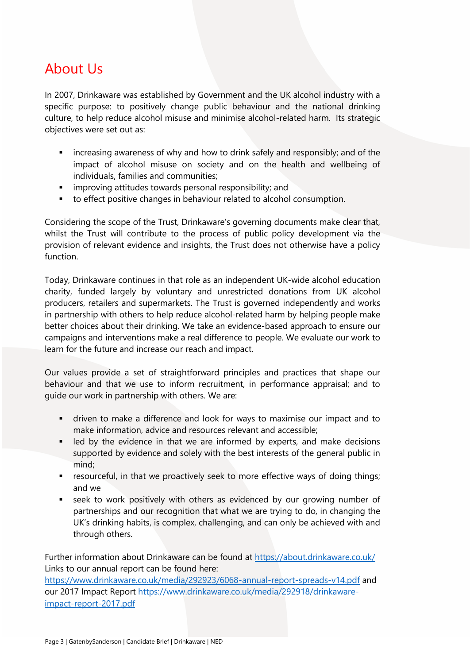# About Us

In 2007, Drinkaware was established by Government and the UK alcohol industry with a specific purpose: to positively change public behaviour and the national drinking culture, to help reduce alcohol misuse and minimise alcohol-related harm. Its strategic objectives were set out as:

- **EXED** increasing awareness of why and how to drink safely and responsibly; and of the impact of alcohol misuse on society and on the health and wellbeing of individuals, families and communities;
- improving attitudes towards personal responsibility; and
- to effect positive changes in behaviour related to alcohol consumption.

Considering the scope of the Trust, Drinkaware's governing documents make clear that, whilst the Trust will contribute to the process of public policy development via the provision of relevant evidence and insights, the Trust does not otherwise have a policy function.

Today, Drinkaware continues in that role as an independent UK-wide alcohol education charity, funded largely by voluntary and unrestricted donations from UK alcohol producers, retailers and supermarkets. The Trust is governed independently and works in partnership with others to help reduce alcohol-related harm by helping people make better choices about their drinking. We take an evidence-based approach to ensure our campaigns and interventions make a real difference to people. We evaluate our work to learn for the future and increase our reach and impact.

Our values provide a set of straightforward principles and practices that shape our behaviour and that we use to inform recruitment, in performance appraisal; and to guide our work in partnership with others. We are:

- driven to make a difference and look for ways to maximise our impact and to make information, advice and resources relevant and accessible;
- **EXECT** led by the evidence in that we are informed by experts, and make decisions supported by evidence and solely with the best interests of the general public in mind;
- **EXE** resourceful, in that we proactively seek to more effective ways of doing things; and we
- seek to work positively with others as evidenced by our growing number of partnerships and our recognition that what we are trying to do, in changing the UK's drinking habits, is complex, challenging, and can only be achieved with and through others.

Further information about Drinkaware can be found at https://about.drinkaware.co.uk/ Links to our annual report can be found here:

<https://www.drinkaware.co.uk/media/292923/6068-annual-report-spreads-v14.pdf> and our 2017 Impact Report [https://www.drinkaware.co.uk/media/292918/drinkaware](https://www.drinkaware.co.uk/media/292918/drinkaware-impact-report-2017.pdf)[impact-report-2017.pdf](https://www.drinkaware.co.uk/media/292918/drinkaware-impact-report-2017.pdf)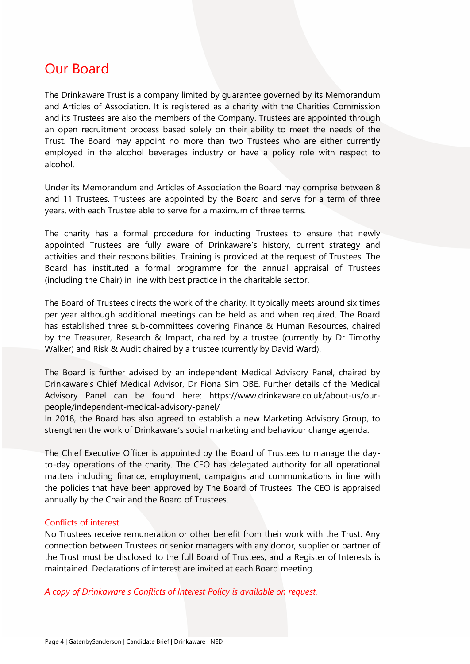# Our Board

The Drinkaware Trust is a company limited by guarantee governed by its Memorandum and Articles of Association. It is registered as a charity with the Charities Commission and its Trustees are also the members of the Company. Trustees are appointed through an open recruitment process based solely on their ability to meet the needs of the Trust. The Board may appoint no more than two Trustees who are either currently employed in the alcohol beverages industry or have a policy role with respect to alcohol.

Under its Memorandum and Articles of Association the Board may comprise between 8 and 11 Trustees. Trustees are appointed by the Board and serve for a term of three years, with each Trustee able to serve for a maximum of three terms.

The charity has a formal procedure for inducting Trustees to ensure that newly appointed Trustees are fully aware of Drinkaware's history, current strategy and activities and their responsibilities. Training is provided at the request of Trustees. The Board has instituted a formal programme for the annual appraisal of Trustees (including the Chair) in line with best practice in the charitable sector.

The Board of Trustees directs the work of the charity. It typically meets around six times per year although additional meetings can be held as and when required. The Board has established three sub-committees covering Finance & Human Resources, chaired by the Treasurer, Research & Impact, chaired by a trustee (currently by Dr Timothy Walker) and Risk & Audit chaired by a trustee (currently by David Ward).

The Board is further advised by an independent Medical Advisory Panel, chaired by Drinkaware's Chief Medical Advisor, Dr Fiona Sim OBE. Further details of the Medical Advisory Panel can be found here: https://www.drinkaware.co.uk/about-us/ourpeople/independent-medical-advisory-panel/

In 2018, the Board has also agreed to establish a new Marketing Advisory Group, to strengthen the work of Drinkaware's social marketing and behaviour change agenda.

The Chief Executive Officer is appointed by the Board of Trustees to manage the dayto-day operations of the charity. The CEO has delegated authority for all operational matters including finance, employment, campaigns and communications in line with the policies that have been approved by The Board of Trustees. The CEO is appraised annually by the Chair and the Board of Trustees.

### Conflicts of interest

No Trustees receive remuneration or other benefit from their work with the Trust. Any connection between Trustees or senior managers with any donor, supplier or partner of the Trust must be disclosed to the full Board of Trustees, and a Register of Interests is maintained. Declarations of interest are invited at each Board meeting.

*A copy of Drinkaware's Conflicts of Interest Policy is available on request.*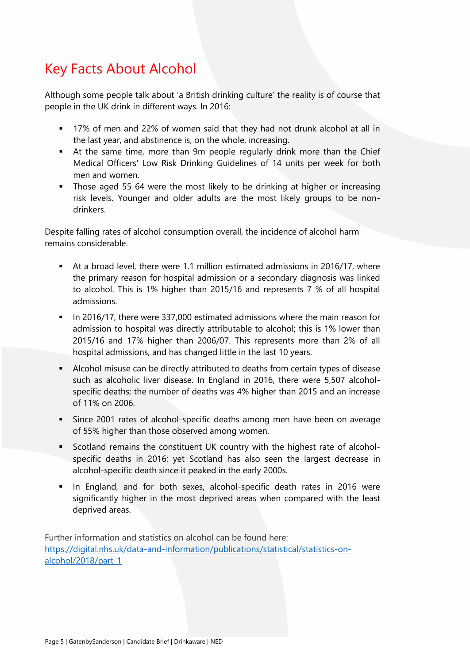# Key Facts About Alcohol

Although some people talk about 'a British drinking culture' the reality is of course that people in the UK drink in different ways. In 2016:

- 17% of men and 22% of women said that they had not drunk alcohol at all in the last year, and abstinence is, on the whole, increasing.
- At the same time, more than 9m people regularly drink more than the Chief Medical Officers' Low Risk Drinking Guidelines of 14 units per week for both men and women.
- **•** Those aged 55-64 were the most likely to be drinking at higher or increasing risk levels. Younger and older adults are the most likely groups to be nondrinkers.

Despite falling rates of alcohol consumption overall, the incidence of alcohol harm remains considerable.

- At a broad level, there were 1.1 million estimated admissions in 2016/17, where the primary reason for hospital admission or a secondary diagnosis was linked to alcohol. This is 1% higher than 2015/16 and represents 7 % of all hospital admissions.
- **■** In 2016/17, there were 337,000 estimated admissions where the main reason for admission to hospital was directly attributable to alcohol; this is 1% lower than 2015/16 and 17% higher than 2006/07. This represents more than 2% of all hospital admissions, and has changed little in the last 10 years.
- Alcohol misuse can be directly attributed to deaths from certain types of disease such as alcoholic liver disease. In England in 2016, there were 5,507 alcoholspecific deaths; the number of deaths was 4% higher than 2015 and an increase of 11% on 2006.
- **EXE** Since 2001 rates of alcohol-specific deaths among men have been on average of 55% higher than those observed among women.
- Scotland remains the constituent UK country with the highest rate of alcoholspecific deaths in 2016; yet Scotland has also seen the largest decrease in alcohol-specific death since it peaked in the early 2000s.
- **.** In England, and for both sexes, alcohol-specific death rates in 2016 were significantly higher in the most deprived areas when compared with the least deprived areas.

Further information and statistics on alcohol can be found here: [https://digital.nhs.uk/data-and-information/publications/statistical/statistics-on](https://digital.nhs.uk/data-and-information/publications/statistical/statistics-on-alcohol/2018/part-1)[alcohol/2018/part-1](https://digital.nhs.uk/data-and-information/publications/statistical/statistics-on-alcohol/2018/part-1)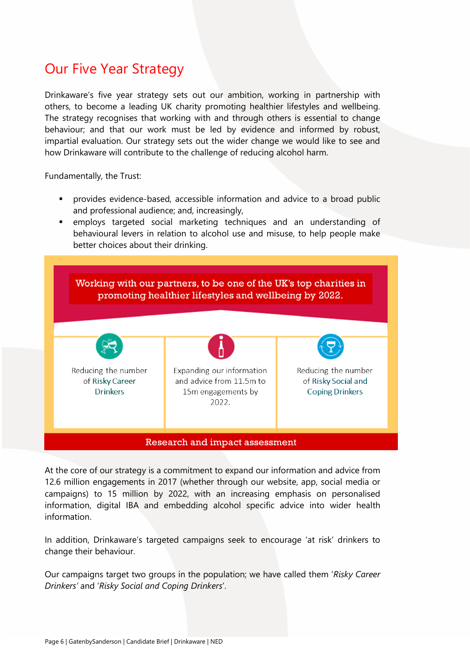# Our Five Year Strategy

Drinkaware's five year strategy sets out our ambition, working in partnership with others, to become a leading UK charity promoting healthier lifestyles and wellbeing. The strategy recognises that working with and through others is essential to change behaviour; and that our work must be led by evidence and informed by robust, impartial evaluation. Our strategy sets out the wider change we would like to see and how Drinkaware will contribute to the challenge of reducing alcohol harm.

Fundamentally, the Trust:

- **•** provides evidence-based, accessible information and advice to a broad public and professional audience; and, increasingly,
- employs targeted social marketing techniques and an understanding of behavioural levers in relation to alcohol use and misuse, to help people make better choices about their drinking.



At the core of our strategy is a commitment to expand our information and advice from 12.6 million engagements in 2017 (whether through our website, app, social media or campaigns) to 15 million by 2022, with an increasing emphasis on personalised information, digital IBA and embedding alcohol specific advice into wider health information.

In addition, Drinkaware's targeted campaigns seek to encourage 'at risk' drinkers to change their behaviour.

Our campaigns target two groups in the population; we have called them '*Risky Career Drinkers'* and '*Risky Social and Coping Drinkers*'.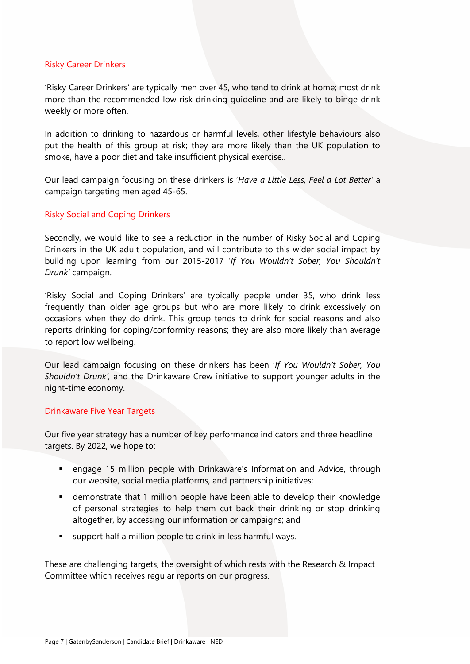# Risky Career Drinkers

'Risky Career Drinkers' are typically men over 45, who tend to drink at home; most drink more than the recommended low risk drinking guideline and are likely to binge drink weekly or more often.

In addition to drinking to hazardous or harmful levels, other lifestyle behaviours also put the health of this group at risk; they are more likely than the UK population to smoke, have a poor diet and take insufficient physical exercise..

Our lead campaign focusing on these drinkers is '*Have a Little Less, Feel a Lot Better'* a campaign targeting men aged 45-65.

# Risky Social and Coping Drinkers

Secondly, we would like to see a reduction in the number of Risky Social and Coping Drinkers in the UK adult population, and will contribute to this wider social impact by building upon learning from our 2015-2017 '*If You Wouldn't Sober, You Shouldn't Drunk'* campaign.

'Risky Social and Coping Drinkers' are typically people under 35, who drink less frequently than older age groups but who are more likely to drink excessively on occasions when they do drink. This group tends to drink for social reasons and also reports drinking for coping/conformity reasons; they are also more likely than average to report low wellbeing.

Our lead campaign focusing on these drinkers has been '*If You Wouldn't Sober, You Shouldn't Drunk',* and the Drinkaware Crew initiative to support younger adults in the night-time economy.

### Drinkaware Five Year Targets

Our five year strategy has a number of key performance indicators and three headline targets. By 2022, we hope to:

- engage 15 million people with Drinkaware's Information and Advice, through our website, social media platforms, and partnership initiatives;
- demonstrate that 1 million people have been able to develop their knowledge of personal strategies to help them cut back their drinking or stop drinking altogether, by accessing our information or campaigns; and
- support half a million people to drink in less harmful ways.

These are challenging targets, the oversight of which rests with the Research & Impact Committee which receives regular reports on our progress.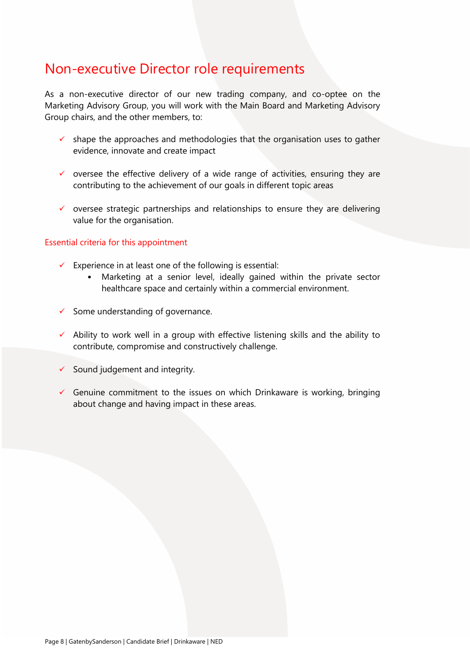# Non-executive Director role requirements

As a non-executive director of our new trading company, and co-optee on the Marketing Advisory Group, you will work with the Main Board and Marketing Advisory Group chairs, and the other members, to:

- shape the approaches and methodologies that the organisation uses to gather evidence, innovate and create impact
- $\checkmark$  oversee the effective delivery of a wide range of activities, ensuring they are contributing to the achievement of our goals in different topic areas
- ✓ oversee strategic partnerships and relationships to ensure they are delivering value for the organisation.

# Essential criteria for this appointment

- $\checkmark$  Experience in at least one of the following is essential:
	- Marketing at a senior level, ideally gained within the private sector healthcare space and certainly within a commercial environment.
- $\checkmark$  Some understanding of governance.
- $\checkmark$  Ability to work well in a group with effective listening skills and the ability to contribute, compromise and constructively challenge.
- $\checkmark$  Sound judgement and integrity.
- $\checkmark$  Genuine commitment to the issues on which Drinkaware is working, bringing about change and having impact in these areas.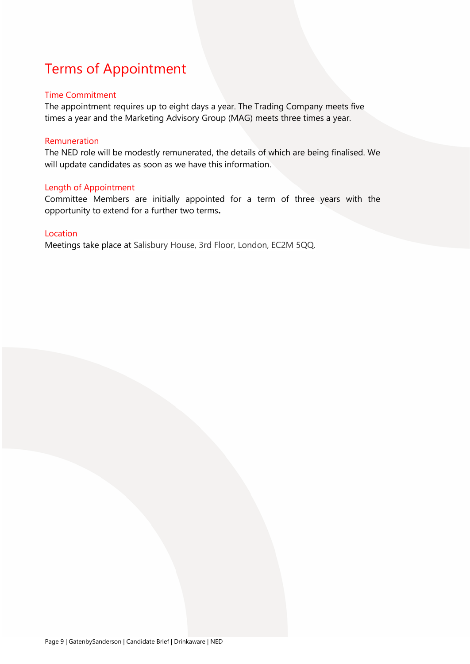# Terms of Appointment

# Time Commitment

The appointment requires up to eight days a year. The Trading Company meets five times a year and the Marketing Advisory Group (MAG) meets three times a year.

# Remuneration

The NED role will be modestly remunerated, the details of which are being finalised. We will update candidates as soon as we have this information.

# Length of Appointment

Committee Members are initially appointed for a term of three years with the opportunity to extend for a further two terms**.**

# Location

Meetings take place at Salisbury House, 3rd Floor, London, EC2M 5QQ.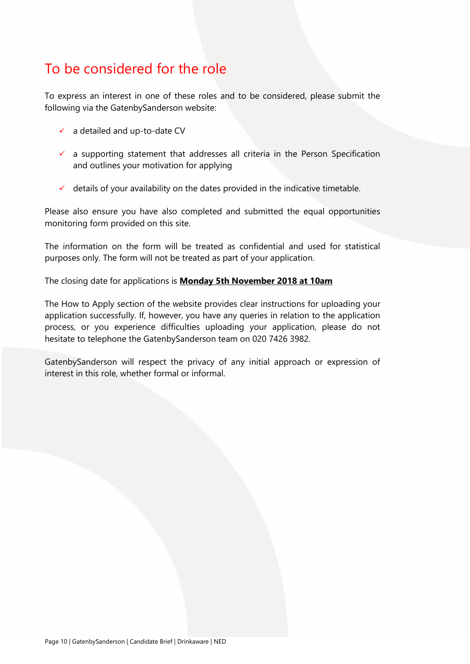# To be considered for the role

To express an interest in one of these roles and to be considered, please submit the following via the GatenbySanderson website:

- $\checkmark$  a detailed and up-to-date CV
- $\checkmark$  a supporting statement that addresses all criteria in the Person Specification and outlines your motivation for applying
- $\checkmark$  details of your availability on the dates provided in the indicative timetable.

Please also ensure you have also completed and submitted the equal opportunities monitoring form provided on this site.

The information on the form will be treated as confidential and used for statistical purposes only. The form will not be treated as part of your application.

The closing date for applications is **Monday 5th November 2018 at 10am**

The How to Apply section of the website provides clear instructions for uploading your application successfully. If, however, you have any queries in relation to the application process, or you experience difficulties uploading your application, please do not hesitate to telephone the GatenbySanderson team on 020 7426 3982.

GatenbySanderson will respect the privacy of any initial approach or expression of interest in this role, whether formal or informal.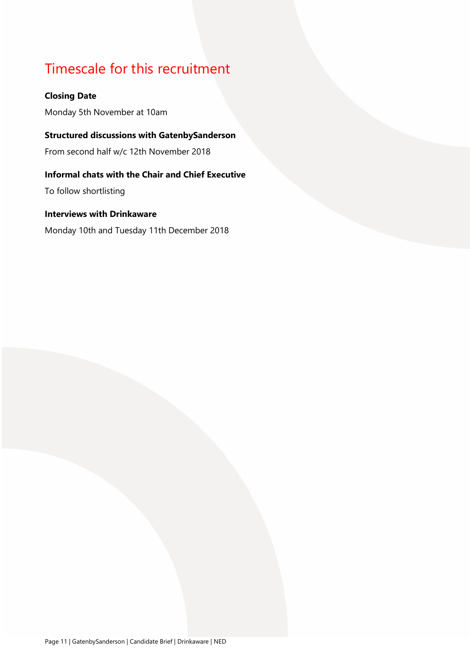# Timescale for this recruitment

# **Closing Date**

Monday 5th November at 10am

# **Structured discussions with GatenbySanderson**

From second half w/c 12th November 2018

# **Informal chats with the Chair and Chief Executive**

To follow shortlisting

# **Interviews with Drinkaware**

Monday 10th and Tuesday 11th December 2018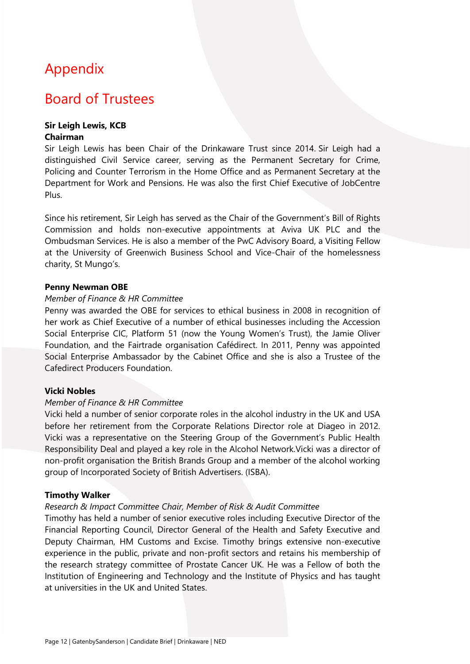# Appendix

# Board of Trustees

# **Sir Leigh Lewis, KCB Chairman**

Sir Leigh Lewis has been Chair of the Drinkaware Trust since 2014. Sir Leigh had a distinguished Civil Service career, serving as the Permanent Secretary for Crime, Policing and Counter Terrorism in the Home Office and as Permanent Secretary at the Department for Work and Pensions. He was also the first Chief Executive of JobCentre Plus.

Since his retirement, Sir Leigh has served as the Chair of the Government's Bill of Rights Commission and holds non-executive appointments at Aviva UK PLC and the Ombudsman Services. He is also a member of the PwC Advisory Board, a Visiting Fellow at the University of Greenwich Business School and Vice-Chair of the homelessness charity, St Mungo's.

# **Penny Newman OBE**

# *Member of Finance & HR Committee*

Penny was awarded the OBE for services to ethical business in 2008 in recognition of her work as Chief Executive of a number of ethical businesses including the Accession Social Enterprise CIC, Platform 51 (now the Young Women's Trust), the Jamie Oliver Foundation, and the Fairtrade organisation Cafédirect. In 2011, Penny was appointed Social Enterprise Ambassador by the Cabinet Office and she is also a Trustee of the Cafedirect Producers Foundation.

# **Vicki Nobles**

# *Member of Finance & HR Committee*

Vicki held a number of senior corporate roles in the alcohol industry in the UK and USA before her retirement from the Corporate Relations Director role at Diageo in 2012. Vicki was a representative on the Steering Group of the Government's Public Health Responsibility Deal and played a key role in the Alcohol Network.Vicki was a director of non-profit organisation the British Brands Group and a member of the alcohol working group of Incorporated Society of British Advertisers. (ISBA).

### **Timothy Walker**

### *Research & Impact Committee Chair, Member of Risk & Audit Committee*

Timothy has held a number of senior executive roles including Executive Director of the Financial Reporting Council, Director General of the Health and Safety Executive and Deputy Chairman, HM Customs and Excise. Timothy brings extensive non-executive experience in the public, private and non-profit sectors and retains his membership of the research strategy committee of Prostate Cancer UK. He was a Fellow of both the Institution of Engineering and Technology and the Institute of Physics and has taught at universities in the UK and United States.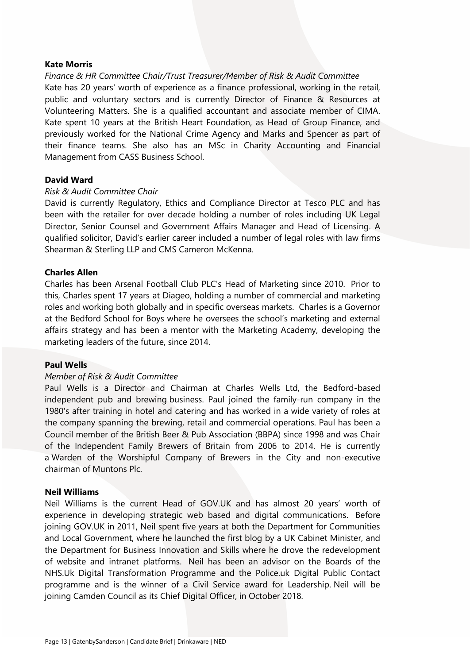### **Kate Morris**

*Finance & HR Committee Chair/Trust Treasurer/Member of Risk & Audit Committee* Kate has 20 years' worth of experience as a finance professional, working in the retail, public and voluntary sectors and is currently Director of Finance & Resources at Volunteering Matters. She is a qualified accountant and associate member of CIMA. Kate spent 10 years at the British Heart Foundation, as Head of Group Finance, and previously worked for the National Crime Agency and Marks and Spencer as part of their finance teams. She also has an MSc in Charity Accounting and Financial Management from CASS Business School.

# **David Ward**

# *Risk & Audit Committee Chair*

David is currently Regulatory, Ethics and Compliance Director at Tesco PLC and has been with the retailer for over decade holding a number of roles including UK Legal Director, Senior Counsel and Government Affairs Manager and Head of Licensing. A qualified solicitor, David's earlier career included a number of legal roles with law firms Shearman & Sterling LLP and CMS Cameron McKenna.

# **Charles Allen**

Charles has been Arsenal Football Club PLC's Head of Marketing since 2010. Prior to this, Charles spent 17 years at Diageo, holding a number of commercial and marketing roles and working both globally and in specific overseas markets. Charles is a Governor at the Bedford School for Boys where he oversees the school's marketing and external affairs strategy and has been a mentor with the Marketing Academy, developing the marketing leaders of the future, since 2014.

### **Paul Wells**

# *Member of Risk & Audit Committee*

Paul Wells is a Director and Chairman at Charles Wells Ltd, the Bedford-based independent pub and brewing business. Paul joined the family-run company in the 1980's after training in hotel and catering and has worked in a wide variety of roles at the company spanning the brewing, retail and commercial operations. Paul has been a Council member of the British Beer & Pub Association (BBPA) since 1998 and was Chair of the Independent Family Brewers of Britain from 2006 to 2014. He is currently a Warden of the Worshipful Company of Brewers in the City and non-executive chairman of Muntons Plc.

### **Neil Williams**

Neil Williams is the current Head of GOV.UK and has almost 20 years' worth of experience in developing strategic web based and digital communications. Before joining GOV.UK in 2011, Neil spent five years at both the Department for Communities and Local Government, where he launched the first blog by a UK Cabinet Minister, and the Department for Business Innovation and Skills where he drove the redevelopment of website and intranet platforms. Neil has been an advisor on the Boards of the NHS.Uk Digital Transformation Programme and the Police.uk Digital Public Contact programme and is the winner of a Civil Service award for Leadership. Neil will be joining Camden Council as its Chief Digital Officer, in October 2018.